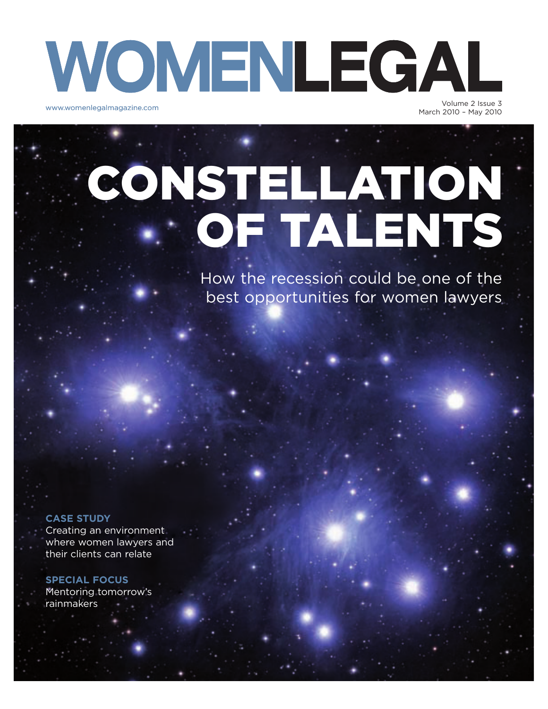## WOMENLEGAL www.womenlegalmagazine.com Volume 2 Issue 3

March 2010 – May 2010

# CONSTELLATION OF TALENTS

How the recession could be one of the best opportunities for women lawyers

#### **CASE STUDY**

Creating an environment where women lawyers and their clients can relate

**SPECIAL FOCUS** Mentoring tomorrow's rainmakers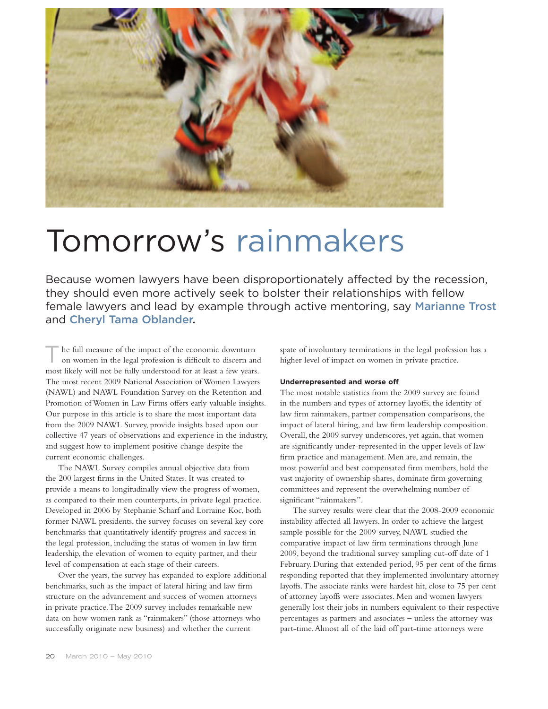

### Tomorrow's rainmakers

Because women lawyers have been disproportionately affected by the recession, they should even more actively seek to bolster their relationships with fellow female lawyers and lead by example through active mentoring, say Marianne Trost and Cheryl Tama Oblander.

he full measure of the impact of the economic downturn on women in the legal profession is difficult to discern and most likely will not be fully understood for at least a few years. The most recent 2009 National Association of Women Lawyers (NAWL) and NAWL Foundation Survey on the Retention and Promotion of Women in Law Firms offers early valuable insights. Our purpose in this article is to share the most important data from the 2009 NAWL Survey, provide insights based upon our collective 47 years of observations and experience in the industry, and suggest how to implement positive change despite the current economic challenges.

The NAWL Survey compiles annual objective data from the 200 largest firms in the United States. It was created to provide a means to longitudinally view the progress of women, as compared to their men counterparts, in private legal practice. Developed in 2006 by Stephanie Scharf and Lorraine Koc, both former NAWL presidents, the survey focuses on several key core benchmarks that quantitatively identify progress and success in the legal profession, including the status of women in law firm leadership, the elevation of women to equity partner, and their level of compensation at each stage of their careers.

Over the years, the survey has expanded to explore additional benchmarks, such as the impact of lateral hiring and law firm structure on the advancement and success of women attorneys in private practice. The 2009 survey includes remarkable new data on how women rank as "rainmakers" (those attorneys who successfully originate new business) and whether the current

spate of involuntary terminations in the legal profession has a higher level of impact on women in private practice.

#### **Underrepresented and worse off**

The most notable statistics from the 2009 survey are found in the numbers and types of attorney layoffs, the identity of law firm rainmakers, partner compensation comparisons, the impact of lateral hiring, and law firm leadership composition. Overall, the 2009 survey underscores, yet again, that women are significantly under-represented in the upper levels of law firm practice and management. Men are, and remain, the most powerful and best compensated firm members, hold the vast majority of ownership shares, dominate firm governing committees and represent the overwhelming number of significant "rainmakers".

The survey results were clear that the 2008-2009 economic instability affected all lawyers. In order to achieve the largest sample possible for the 2009 survey, NAWL studied the comparative impact of law firm terminations through June 2009, beyond the traditional survey sampling cut-off date of 1 February. During that extended period, 95 per cent of the firms responding reported that they implemented involuntary attorney layoffs. The associate ranks were hardest hit, close to 75 per cent of attorney layoffs were associates. Men and women lawyers generally lost their jobs in numbers equivalent to their respective percentages as partners and associates – unless the attorney was part-time. Almost all of the laid off part-time attorneys were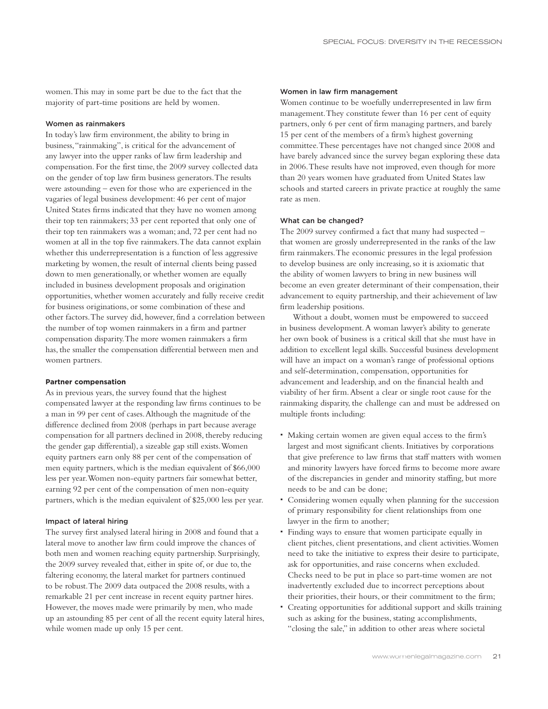women. This may in some part be due to the fact that the majority of part-time positions are held by women.

#### Women as rainmakers

In today's law firm environment, the ability to bring in business, "rainmaking", is critical for the advancement of any lawyer into the upper ranks of law firm leadership and compensation. For the first time, the 2009 survey collected data on the gender of top law firm business generators. The results were astounding – even for those who are experienced in the vagaries of legal business development: 46 per cent of major United States firms indicated that they have no women among their top ten rainmakers; 33 per cent reported that only one of their top ten rainmakers was a woman; and, 72 per cent had no women at all in the top five rainmakers. The data cannot explain whether this underrepresentation is a function of less aggressive marketing by women, the result of internal clients being passed down to men generationally, or whether women are equally included in business development proposals and origination opportunities, whether women accurately and fully receive credit for business originations, or some combination of these and other factors. The survey did, however, find a correlation between the number of top women rainmakers in a firm and partner compensation disparity. The more women rainmakers a firm has, the smaller the compensation differential between men and women partners.

#### **Partner compensation**

As in previous years, the survey found that the highest compensated lawyer at the responding law firms continues to be a man in 99 per cent of cases. Although the magnitude of the difference declined from 2008 (perhaps in part because average compensation for all partners declined in 2008, thereby reducing the gender gap differential), a sizeable gap still exists. Women equity partners earn only 88 per cent of the compensation of men equity partners, which is the median equivalent of \$66,000 less per year. Women non-equity partners fair somewhat better, earning 92 per cent of the compensation of men non-equity partners, which is the median equivalent of \$25,000 less per year.

#### Impact of lateral hiring

The survey first analysed lateral hiring in 2008 and found that a lateral move to another law firm could improve the chances of both men and women reaching equity partnership. Surprisingly, the 2009 survey revealed that, either in spite of, or due to, the faltering economy, the lateral market for partners continued to be robust. The 2009 data outpaced the 2008 results, with a remarkable 21 per cent increase in recent equity partner hires. However, the moves made were primarily by men, who made up an astounding 85 per cent of all the recent equity lateral hires, while women made up only 15 per cent.

#### Women in law firm management

Women continue to be woefully underrepresented in law firm management. They constitute fewer than 16 per cent of equity partners, only 6 per cent of firm managing partners, and barely 15 per cent of the members of a firm's highest governing committee. These percentages have not changed since 2008 and have barely advanced since the survey began exploring these data in 2006. These results have not improved, even though for more than 20 years women have graduated from United States law schools and started careers in private practice at roughly the same rate as men.

#### What can be changed?

The 2009 survey confirmed a fact that many had suspected – that women are grossly underrepresented in the ranks of the law firm rainmakers. The economic pressures in the legal profession to develop business are only increasing, so it is axiomatic that the ability of women lawyers to bring in new business will become an even greater determinant of their compensation, their advancement to equity partnership, and their achievement of law firm leadership positions.

Without a doubt, women must be empowered to succeed in business development. A woman lawyer's ability to generate her own book of business is a critical skill that she must have in addition to excellent legal skills. Successful business development will have an impact on a woman's range of professional options and self-determination, compensation, opportunities for advancement and leadership, and on the financial health and viability of her firm. Absent a clear or single root cause for the rainmaking disparity, the challenge can and must be addressed on multiple fronts including:

- ! Making certain women are given equal access to the firm's largest and most significant clients. Initiatives by corporations that give preference to law firms that staff matters with women and minority lawyers have forced firms to become more aware of the discrepancies in gender and minority staffing, but more needs to be and can be done;
- ! Considering women equally when planning for the succession of primary responsibility for client relationships from one lawyer in the firm to another;
- ! Finding ways to ensure that women participate equally in client pitches, client presentations, and client activities. Women need to take the initiative to express their desire to participate, ask for opportunities, and raise concerns when excluded. Checks need to be put in place so part-time women are not inadvertently excluded due to incorrect perceptions about their priorities, their hours, or their commitment to the firm;
- ! Creating opportunities for additional support and skills training such as asking for the business, stating accomplishments, "closing the sale," in addition to other areas where societal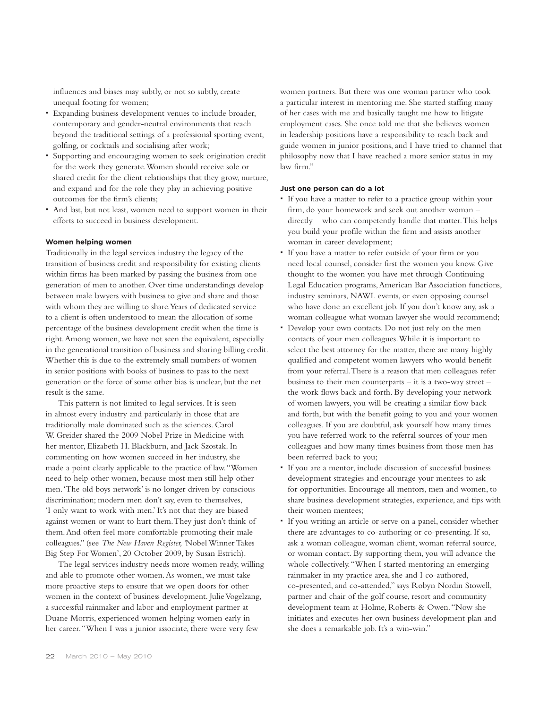influences and biases may subtly, or not so subtly, create unequal footing for women;

- ! Expanding business development venues to include broader, contemporary and gender-neutral environments that reach beyond the traditional settings of a professional sporting event, golfing, or cocktails and socialising after work;
- ! Supporting and encouraging women to seek origination credit for the work they generate. Women should receive sole or shared credit for the client relationships that they grow, nurture, and expand and for the role they play in achieving positive outcomes for the firm's clients;
- ! And last, but not least, women need to support women in their efforts to succeed in business development.

#### **Women helping women**

Traditionally in the legal services industry the legacy of the transition of business credit and responsibility for existing clients within firms has been marked by passing the business from one generation of men to another. Over time understandings develop between male lawyers with business to give and share and those with whom they are willing to share. Years of dedicated service to a client is often understood to mean the allocation of some percentage of the business development credit when the time is right. Among women, we have not seen the equivalent, especially in the generational transition of business and sharing billing credit. Whether this is due to the extremely small numbers of women in senior positions with books of business to pass to the next generation or the force of some other bias is unclear, but the net result is the same.

This pattern is not limited to legal services. It is seen in almost every industry and particularly in those that are traditionally male dominated such as the sciences. Carol W. Greider shared the 2009 Nobel Prize in Medicine with her mentor, Elizabeth H. Blackburn, and Jack Szostak. In commenting on how women succeed in her industry, she made a point clearly applicable to the practice of law. "Women need to help other women, because most men still help other men. 'The old boys network' is no longer driven by conscious discrimination; modern men don't say, even to themselves, 'I only want to work with men.' It's not that they are biased against women or want to hurt them. They just don't think of them. And often feel more comfortable promoting their male colleagues." (see *The New Haven Register, '*Nobel Winner Takes Big Step For Women', 20 October 2009, by Susan Estrich).

The legal services industry needs more women ready, willing and able to promote other women. As women, we must take more proactive steps to ensure that we open doors for other women in the context of business development. Julie Vogelzang, a successful rainmaker and labor and employment partner at Duane Morris, experienced women helping women early in her career. "When I was a junior associate, there were very few

women partners. But there was one woman partner who took a particular interest in mentoring me. She started staffing many of her cases with me and basically taught me how to litigate employment cases. She once told me that she believes women in leadership positions have a responsibility to reach back and guide women in junior positions, and I have tried to channel that philosophy now that I have reached a more senior status in my law firm"

#### **Just one person can do a lot**

- ! If you have a matter to refer to a practice group within your firm, do your homework and seek out another woman – directly – who can competently handle that matter. This helps you build your profile within the firm and assists another woman in career development;
- ! If you have a matter to refer outside of your firm or you need local counsel, consider first the women you know. Give thought to the women you have met through Continuing Legal Education programs, American Bar Association functions, industry seminars, NAWL events, or even opposing counsel who have done an excellent job. If you don't know any, ask a woman colleague what woman lawyer she would recommend;
- ! Develop your own contacts. Do not just rely on the men contacts of your men colleagues. While it is important to select the best attorney for the matter, there are many highly qualified and competent women lawyers who would benefit from your referral. There is a reason that men colleagues refer business to their men counterparts – it is a two-way street – the work flows back and forth. By developing your network of women lawyers, you will be creating a similar flow back and forth, but with the benefit going to you and your women colleagues. If you are doubtful, ask yourself how many times you have referred work to the referral sources of your men colleagues and how many times business from those men has been referred back to you;
- ! If you are a mentor, include discussion of successful business development strategies and encourage your mentees to ask for opportunities. Encourage all mentors, men and women, to share business development strategies, experience, and tips with their women mentees;
- ! If you writing an article or serve on a panel, consider whether there are advantages to co-authoring or co-presenting. If so, ask a woman colleague, woman client, woman referral source, or woman contact. By supporting them, you will advance the whole collectively. "When I started mentoring an emerging rainmaker in my practice area, she and I co-authored, co-presented, and co-attended," says Robyn Nordin Stowell, partner and chair of the golf course, resort and community development team at Holme, Roberts & Owen. "Now she initiates and executes her own business development plan and she does a remarkable job. It's a win-win."